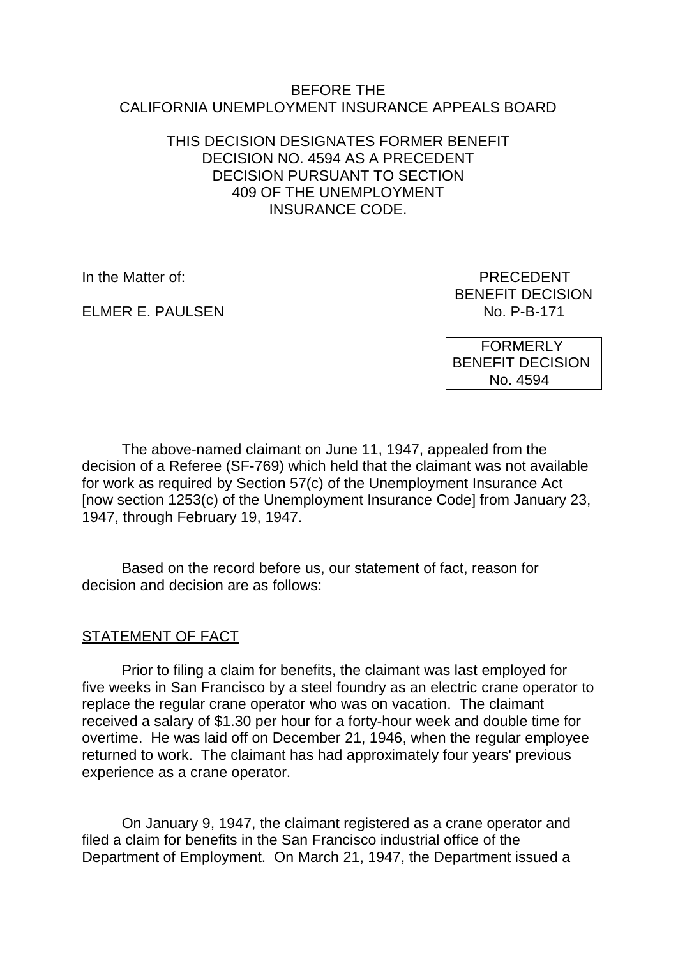### BEFORE THE CALIFORNIA UNEMPLOYMENT INSURANCE APPEALS BOARD

### THIS DECISION DESIGNATES FORMER BENEFIT DECISION NO. 4594 AS A PRECEDENT DECISION PURSUANT TO SECTION 409 OF THE UNEMPLOYMENT INSURANCE CODE.

ELMER E. PAULSEN

In the Matter of: PRECEDENT BENEFIT DECISION<br>No. P-B-171

> FORMERLY BENEFIT DECISION No. 4594

The above-named claimant on June 11, 1947, appealed from the decision of a Referee (SF-769) which held that the claimant was not available for work as required by Section 57(c) of the Unemployment Insurance Act [now section 1253(c) of the Unemployment Insurance Code] from January 23, 1947, through February 19, 1947.

Based on the record before us, our statement of fact, reason for decision and decision are as follows:

# STATEMENT OF FACT

Prior to filing a claim for benefits, the claimant was last employed for five weeks in San Francisco by a steel foundry as an electric crane operator to replace the regular crane operator who was on vacation. The claimant received a salary of \$1.30 per hour for a forty-hour week and double time for overtime. He was laid off on December 21, 1946, when the regular employee returned to work. The claimant has had approximately four years' previous experience as a crane operator.

On January 9, 1947, the claimant registered as a crane operator and filed a claim for benefits in the San Francisco industrial office of the Department of Employment. On March 21, 1947, the Department issued a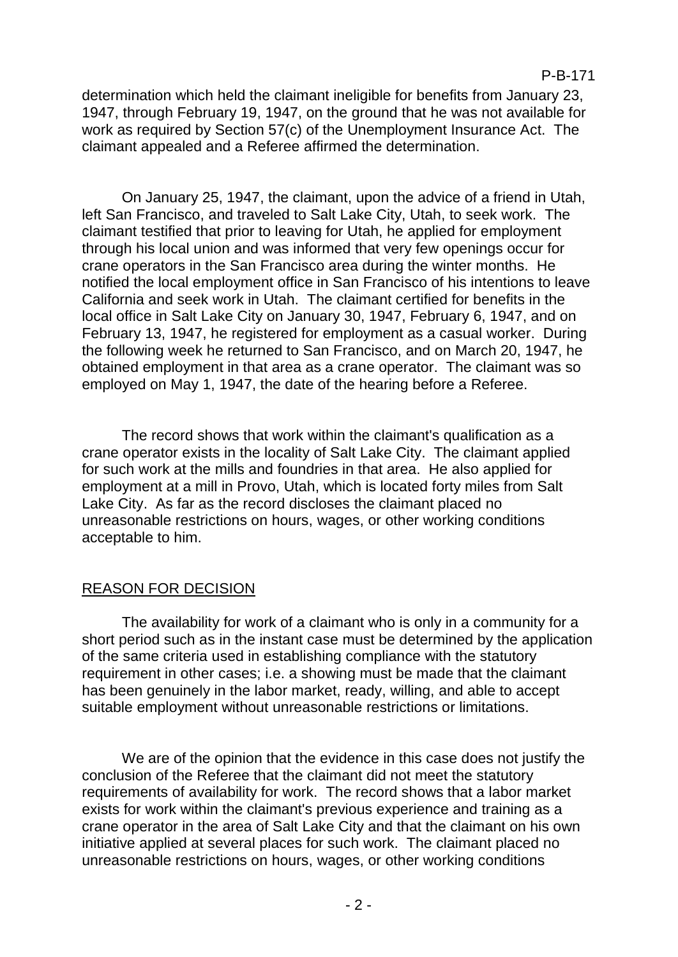determination which held the claimant ineligible for benefits from January 23, 1947, through February 19, 1947, on the ground that he was not available for work as required by Section 57(c) of the Unemployment Insurance Act. The claimant appealed and a Referee affirmed the determination.

On January 25, 1947, the claimant, upon the advice of a friend in Utah, left San Francisco, and traveled to Salt Lake City, Utah, to seek work. The claimant testified that prior to leaving for Utah, he applied for employment through his local union and was informed that very few openings occur for crane operators in the San Francisco area during the winter months. He notified the local employment office in San Francisco of his intentions to leave California and seek work in Utah. The claimant certified for benefits in the local office in Salt Lake City on January 30, 1947, February 6, 1947, and on February 13, 1947, he registered for employment as a casual worker. During the following week he returned to San Francisco, and on March 20, 1947, he obtained employment in that area as a crane operator. The claimant was so employed on May 1, 1947, the date of the hearing before a Referee.

The record shows that work within the claimant's qualification as a crane operator exists in the locality of Salt Lake City. The claimant applied for such work at the mills and foundries in that area. He also applied for employment at a mill in Provo, Utah, which is located forty miles from Salt Lake City. As far as the record discloses the claimant placed no unreasonable restrictions on hours, wages, or other working conditions acceptable to him.

# REASON FOR DECISION

The availability for work of a claimant who is only in a community for a short period such as in the instant case must be determined by the application of the same criteria used in establishing compliance with the statutory requirement in other cases; i.e. a showing must be made that the claimant has been genuinely in the labor market, ready, willing, and able to accept suitable employment without unreasonable restrictions or limitations.

We are of the opinion that the evidence in this case does not justify the conclusion of the Referee that the claimant did not meet the statutory requirements of availability for work. The record shows that a labor market exists for work within the claimant's previous experience and training as a crane operator in the area of Salt Lake City and that the claimant on his own initiative applied at several places for such work. The claimant placed no unreasonable restrictions on hours, wages, or other working conditions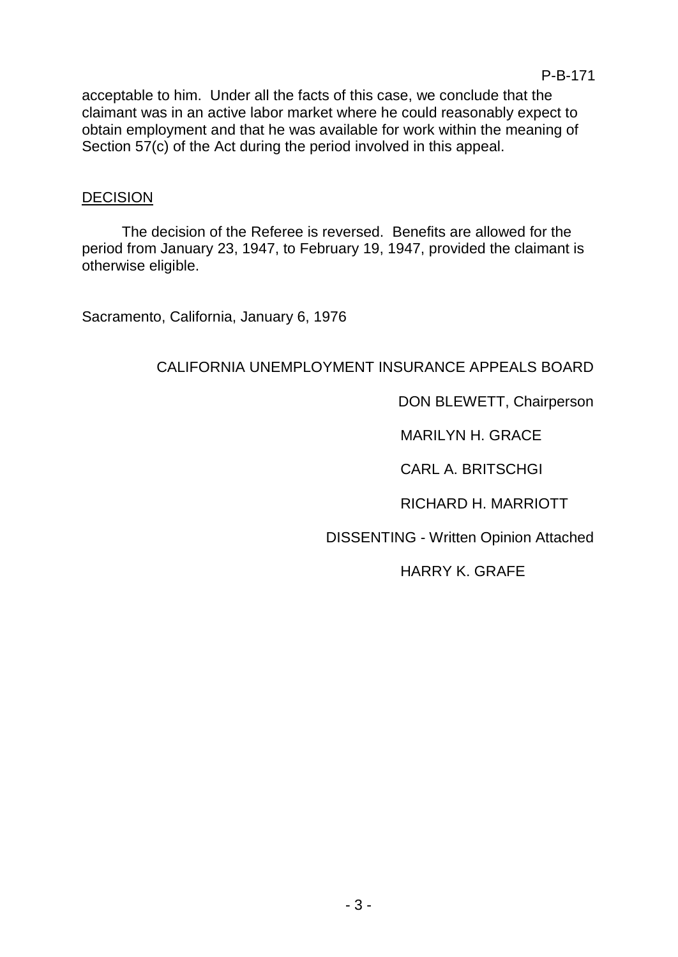acceptable to him. Under all the facts of this case, we conclude that the claimant was in an active labor market where he could reasonably expect to obtain employment and that he was available for work within the meaning of Section 57(c) of the Act during the period involved in this appeal.

## DECISION

The decision of the Referee is reversed. Benefits are allowed for the period from January 23, 1947, to February 19, 1947, provided the claimant is otherwise eligible.

Sacramento, California, January 6, 1976

# CALIFORNIA UNEMPLOYMENT INSURANCE APPEALS BOARD

# DON BLEWETT, Chairperson

MARILYN H. GRACE

CARL A. BRITSCHGI

RICHARD H. MARRIOTT

DISSENTING - Written Opinion Attached

HARRY K. GRAFE